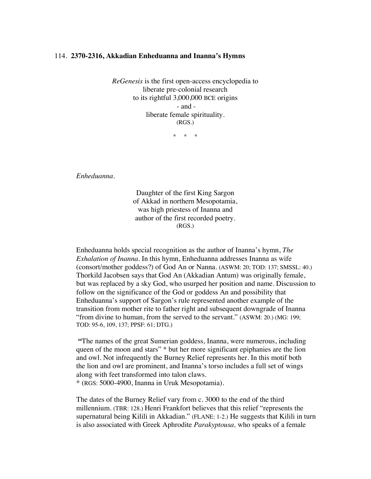## 114. **2370-2316, Akkadian Enheduanna and Inanna's Hymns**

*ReGenesis* is the first open-access encyclopedia to liberate pre-colonial research to its rightful 3,000,000 BCE origins - and liberate female spirituality. (RGS.)

\* \* \*

*Enheduanna.*

Daughter of the first King Sargon of Akkad in northern Mesopotamia, was high priestess of Inanna and author of the first recorded poetry. (RGS.)

Enheduanna holds special recognition as the author of Inanna's hymn, *The Exhalation of Inanna.* In this hymn, Enheduanna addresses Inanna as wife (consort/mother goddess?) of God An or Nanna. (ASWM: 20; TOD: 137; SMSSL: 40.) Thorkild Jacobsen says that God An (Akkadian Antum) was originally female, but was replaced by a sky God, who usurped her position and name. Discussion to follow on the significance of the God or goddess An and possibility that Enheduanna's support of Sargon's rule represented another example of the transition from mother rite to father right and subsequent downgrade of Inanna "from divine to human, from the served to the servant." (ASWM: 20.) (MG: 199; TOD: 95-6, 109, 137; PPSF: 61; DTG.)

**"**The names of the great Sumerian goddess, Inanna, were numerous, including queen of the moon and stars" \* but her more significant epiphanies are the lion and owl. Not infrequently the Burney Relief represents her. In this motif both the lion and owl are prominent, and Inanna's torso includes a full set of wings along with feet transformed into talon claws. \* (RGS: 5000-4900, Inanna in Uruk Mesopotamia).

The dates of the Burney Relief vary from c. 3000 to the end of the third millennium. (TBR: 128.) Henri Frankfort believes that this relief "represents the supernatural being Kilili in Akkadian." (FLANE: 1-2.) He suggests that Kilili in turn is also associated with Greek Aphrodite *Parakyptousa,* who speaks of a female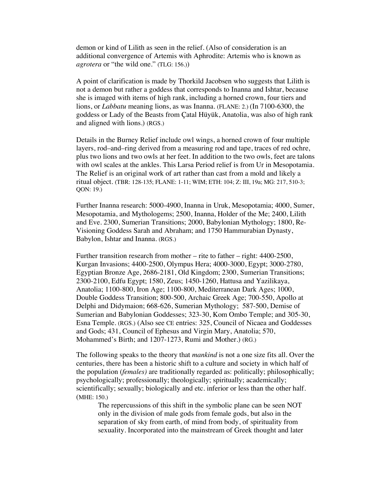demon or kind of Lilith as seen in the relief. (Also of consideration is an additional convergence of Artemis with Aphrodite: Artemis who is known as *agrotera* or "the wild one." (TLG: 156.))

A point of clarification is made by Thorkild Jacobsen who suggests that Lilith is not a demon but rather a goddess that corresponds to Inanna and Ishtar, because she is imaged with items of high rank, including a horned crown, four tiers and lions, or *Labbatu* meaning lions, as was Inanna. (FLANE: 2.) (In 7100-6300, the goddess or Lady of the Beasts from Çatal Hüyük, Anatolia, was also of high rank and aligned with lions.) (RGS.)

Details in the Burney Relief include owl wings, a horned crown of four multiple layers, rod–and–ring derived from a measuring rod and tape, traces of red ochre, plus two lions and two owls at her feet. In addition to the two owls, feet are talons with owl scales at the ankles. This Larsa Period relief is from Ur in Mesopotamia. The Relief is an original work of art rather than cast from a mold and likely a ritual object. (TBR: 128-135; FLANE: 1-11; WIM; ETH: 104; Z: III, 19a; MG: 217, 510-3; QON: 19.)

Further Inanna research: 5000-4900, Inanna in Uruk, Mesopotamia; 4000, Sumer, Mesopotamia, and Mythologems; 2500, Inanna, Holder of the Me; 2400, Lilith and Eve. 2300, Sumerian Transitions; 2000, Babylonian Mythology; 1800, Re-Visioning Goddess Sarah and Abraham; and 1750 Hammurabian Dynasty, Babylon, Ishtar and Inanna. (RGS.)

Further transition research from mother – rite to father – right: 4400-2500, Kurgan Invasions; 4400-2500, Olympus Hera; 4000-3000, Egypt; 3000-2780, Egyptian Bronze Age, 2686-2181, Old Kingdom; 2300, Sumerian Transitions; 2300-2100, Edfu Egypt; 1580, Zeus; 1450-1260, Hattusa and Yazilikaya, Anatolia; 1100-800, Iron Age; 1100-800, Mediterranean Dark Ages; 1000, Double Goddess Transition; 800-500, Archaic Greek Age; 700-550, Apollo at Delphi and Didymaion; 668-626, Sumerian Mythology; 587-500, Demise of Sumerian and Babylonian Goddesses; 323-30, Kom Ombo Temple; and 305-30, Esna Temple. (RGS.) (Also see CE entries: 325, Council of Nicaea and Goddesses and Gods; 431, Council of Ephesus and Virgin Mary, Anatolia; 570, Mohammed's Birth; and 1207-1273, Rumi and Mother.) (RG.)

The following speaks to the theory that *mankind* is not a one size fits all. Over the centuries, there has been a historic shift to a culture and society in which half of the population (*females)* are traditionally regarded as: politically; philosophically; psychologically; professionally; theologically; spiritually; academically; scientifically; sexually; biologically and etc. inferior or less than the other half. (MHE: 150.)

The repercussions of this shift in the symbolic plane can be seen NOT only in the division of male gods from female gods, but also in the separation of sky from earth, of mind from body, of spirituality from sexuality. Incorporated into the mainstream of Greek thought and later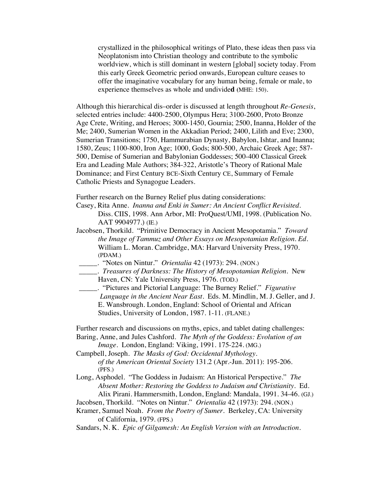crystallized in the philosophical writings of Plato, these ideas then pass via Neoplatonism into Christian theology and contribute to the symbolic worldview, which is still dominant in western [global] society today. From this early Greek Geometric period onwards, European culture ceases to offer the imaginative vocabulary for any human being, female or male, to experience themselves as whole and undivide**d (**MHE: 150).

Although this hierarchical dis–order is discussed at length throughout *Re-Genesis*, selected entries include: 4400-2500, Olympus Hera; 3100-2600, Proto Bronze Age Crete, Writing, and Heroes; 3000-1450, Gournia; 2500, Inanna, Holder of the Me; 2400, Sumerian Women in the Akkadian Period; 2400, Lilith and Eve; 2300, Sumerian Transitions; 1750, Hammurabian Dynasty, Babylon, Ishtar, and Inanna; 1580, Zeus; 1100-800, Iron Age; 1000, Gods; 800-500, Archaic Greek Age; 587- 500, Demise of Sumerian and Babylonian Goddesses; 500-400 Classical Greek Era and Leading Male Authors; 384-322, Aristotle's Theory of Rational Male Dominance; and First Century BCE-Sixth Century CE, Summary of Female Catholic Priests and Synagogue Leaders.

Further research on the Burney Relief plus dating considerations:

Casey, Rita Anne. *Inanna and Enki in Sumer: An Ancient Conflict Revisited.* Diss. CIIS, 1998. Ann Arbor, MI: ProQuest/UMI, 1998. (Publication No. AAT 9904977.) (IE.)

- Jacobsen, Thorkild. "Primitive Democracy in Ancient Mesopotamia." *Toward the Image of Tammuz and Other Essays on Mesopotamian Religion. Ed.*  William L. Moran. Cambridge, MA: Harvard University Press, 1970. (PDAM.)
- \_\_\_\_\_. "Notes on Nintur." *Orientalia* 42 (1973): 294. (NON.)
- \_\_\_\_\_. *Treasures of Darkness: The History of Mesopotamian Religion.* New Haven, CN: Yale University Press, 1976. (TOD.)

\_\_\_\_\_. "Pictures and Pictorial Language: The Burney Relief." *Figurative Language in the Ancient Near East.* Eds. M. Mindlin, M. J. Geller, and J. E. Wansbrough. London, England: School of Oriental and African Studies, University of London, 1987. 1-11. (FLANE.)

Further research and discussions on myths, epics, and tablet dating challenges: Baring, Anne, and Jules Cashford. *The Myth of the Goddess: Evolution of an* 

*Image*. London, England: Viking, 1991. 175-224. (MG.)

Campbell, Joseph. *The Masks of God: Occidental Mythology. of the American Oriental Society* 131.2 (Apr.-Jun. 2011): 195-206. (PFS.)

Long, Asphodel. "The Goddess in Judaism: An Historical Perspective." *The Absent Mother: Restoring the Goddess to Judaism and Christianity.* Ed. Alix Pirani. Hammersmith, London, England: Mandala, 1991. 34-46. (GJ.)

Jacobsen, Thorkild. "Notes on Nintur." *Orientalia* 42 (1973): 294. (NON.)

Kramer, Samuel Noah. *From the Poetry of Sumer*. Berkeley, CA: University of California, 1979. (FPS.)

Sandars, N. K. *Epic of Gilgamesh: An English Version with an Introduction.*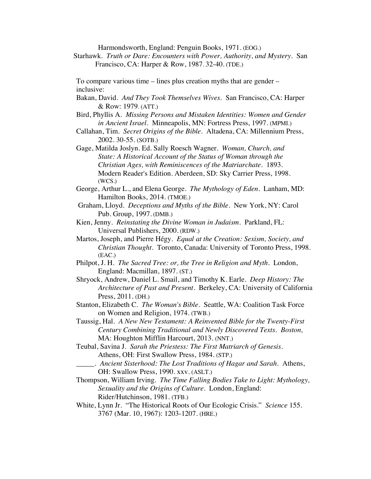Harmondsworth, England: Penguin Books, 1971. (EOG.)

Starhawk. *Truth or Dare: Encounters with Power, Authority, and Mystery.* San Francisco, CA: Harper & Row, 1987. 32-40. (TDE.)

To compare various time – lines plus creation myths that are gender – inclusive:

- Bakan, David. *And They Took Themselves Wives*. San Francisco, CA: Harper & Row: 1979. (ATT.)
- Bird, Phyllis A. *Missing Persons and Mistaken Identities: Women and Gender in Ancient Israel.* Minneapolis, MN: Fortress Press, 1997. (MPMI.)
- Callahan, Tim. *Secret Origins of the Bible.* Altadena, CA: Millennium Press, 2002. 30-55. (SOTB.)
- Gage, Matilda Joslyn. Ed. Sally Roesch Wagner. *Woman, Church, and State: A Historical Account of the Status of Woman through the Christian Ages, with Reminiscences of the Matriarchate*. 1893. Modern Reader's Edition. Aberdeen, SD: Sky Carrier Press, 1998. (WCS.)
- George, Arthur L., and Elena George. *The Mythology of Eden*. Lanham, MD: Hamilton Books, 2014. (TMOE.)
- Graham, Lloyd. *Deceptions and Myths of the Bible*. New York, NY: Carol Pub. Group, 1997. (DMB.)
- Kien, Jenny. *Reinstating the Divine Woman in Judaism.* Parkland, FL: Universal Publishers, 2000. (RDW.)
- Martos, Joseph, and Pierre Hégy. *Equal at the Creation: Sexism, Society, and Christian Thought*. Toronto, Canada: University of Toronto Press, 1998. (EAC.)
- Philpot, J. H. *The Sacred Tree: or, the Tree in Religion and Myth*. London, England: Macmillan, 1897. (ST.)
- Shryock, Andrew, Daniel L. Smail, and Timothy K. Earle. *Deep History: The Architecture of Past and Present*. Berkeley, CA: University of California Press, 2011. (DH.)
- Stanton, Elizabeth C. *The Woman's Bible*. Seattle, WA: Coalition Task Force on Women and Religion, 1974. (TWB.)
- Taussig, Hal. *A New New Testament: A Reinvented Bible for the Twenty-First Century Combining Traditional and Newly Discovered Texts. Boston,*  MA: Houghton Mifflin Harcourt, 2013. (NNT.)
- Teubal, Savina J. *Sarah the Priestess: The First Matriarch of Genesis*. Athens, OH: First Swallow Press, 1984. (STP.)
	- \_\_\_\_\_. *Ancient Sisterhood: The Lost Traditions of Hagar and Sarah*. Athens, OH: Swallow Press, 1990. xxv. (ASLT.)
- Thompson, William Irving. *The Time Falling Bodies Take to Light: Mythology, Sexuality and the Origins of Culture.* London, England: Rider/Hutchinson, 1981. (TFB.)
- White, Lynn Jr. "The Historical Roots of Our Ecologic Crisis." *Science* 155. 3767 (Mar. 10, 1967): 1203-1207. (HRE.)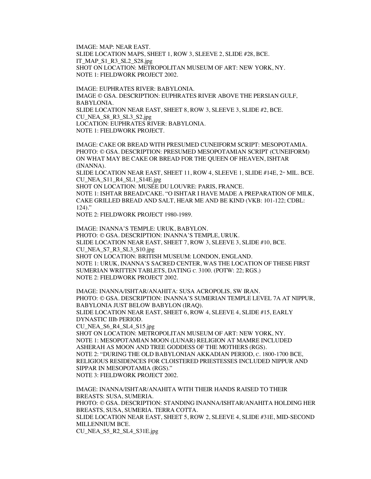IMAGE: MAP: NEAR EAST. SLIDE LOCATION MAPS, SHEET 1, ROW 3, SLEEVE 2, SLIDE #28, BCE. IT\_MAP\_S1\_R3\_SL2\_S28.jpg SHOT ON LOCATION: METROPOLITAN MUSEUM OF ART: NEW YORK, NY. NOTE 1: FIELDWORK PROJECT 2002.

IMAGE: EUPHRATES RIVER: BABYLONIA. IMAGE © GSA. DESCRIPTION: EUPHRATES RIVER ABOVE THE PERSIAN GULF, BABYLONIA. SLIDE LOCATION NEAR EAST, SHEET 8, ROW 3, SLEEVE 3, SLIDE #2, BCE. CU\_NEA\_S8\_R3\_SL3\_S2.jpg LOCATION: EUPHRATES RIVER: BABYLONIA. NOTE 1: FIELDWORK PROJECT.

IMAGE: CAKE OR BREAD WITH PRESUMED CUNEIFORM SCRIPT: MESOPOTAMIA. PHOTO: © GSA. DESCRIPTION: PRESUMED MESOPOTAMIAN SCRIPT (CUNEIFORM) ON WHAT MAY BE CAKE OR BREAD FOR THE QUEEN OF HEAVEN, ISHTAR (INANNA).

SLIDE LOCATION NEAR EAST, SHEET 11, ROW 4, SLEEVE 1, SLIDE #14E,  $2^{\infty}$  MIL. BCE. CU\_NEA\_S11\_R4\_SL1\_S14E.jpg

SHOT ON LOCATION: MUSÉE DU LOUVRE: PARIS, FRANCE.

NOTE 1: ISHTAR BREAD/CAKE. "O ISHTAR I HAVE MADE A PREPARATION OF MILK, CAKE GRILLED BREAD AND SALT, HEAR ME AND BE KIND (VKB: 101-122; CDBL: 124)."

NOTE 2: FIELDWORK PROJECT 1980-1989.

IMAGE: INANNA'S TEMPLE: URUK, BABYLON. PHOTO: © GSA. DESCRIPTION: INANNA'S TEMPLE, URUK. SLIDE LOCATION NEAR EAST, SHEET 7, ROW 3, SLEEVE 3, SLIDE #10, BCE. CU\_NEA\_S7\_R3\_SL3\_S10.jpg SHOT ON LOCATION: BRITISH MUSEUM: LONDON, ENGLAND. NOTE 1: URUK, INANNA'S SACRED CENTER, WAS THE LOCATION OF THESE FIRST SUMERIAN WRITTEN TABLETS, DATING C. 3100. (POTW: 22; RGS.) NOTE 2: FIELDWORK PROJECT 2002.

IMAGE: INANNA/ISHTAR/ANAHITA: SUSA ACROPOLIS, SW IRAN. PHOTO: © GSA. DESCRIPTION: INANNA'S SUMERIAN TEMPLE LEVEL 7A AT NIPPUR, BABYLONIA JUST BELOW BABYLON (IRAQ). SLIDE LOCATION NEAR EAST, SHEET 6, ROW 4, SLEEVE 4, SLIDE #15, EARLY DYNASTIC IIIb PERIOD. CU\_NEA\_S6\_R4\_SL4\_S15.jpg SHOT ON LOCATION: METROPOLITAN MUSEUM OF ART: NEW YORK, NY. NOTE 1: MESOPOTAMIAN MOON (LUNAR) RELIGION AT MAMRE INCLUDED ASHERAH AS MOON AND TREE GODDESS OF THE MOTHERS (RGS). NOTE 2: "DURING THE OLD BABYLONIAN AKKADIAN PERIOD, C. 1800-1700 BCE, RELIGIOUS RESIDENCES FOR CLOISTERED PRIESTESSES INCLUDED NIPPUR AND SIPPAR IN MESOPOTAMIA (RGS)." NOTE 3: FIELDWORK PROJECT 2002.

IMAGE: INANNA/ISHTAR/ANAHITA WITH THEIR HANDS RAISED TO THEIR BREASTS: SUSA, SUMERIA. PHOTO: © GSA. DESCRIPTION: STANDING INANNA/ISHTAR/ANAHITA HOLDING HER BREASTS, SUSA, SUMERIA. TERRA COTTA. SLIDE LOCATION NEAR EAST, SHEET 5, ROW 2, SLEEVE 4, SLIDE #31E, MID-SECOND MILLENNIUM BCE. CU\_NEA\_S5\_R2\_SL4\_S31E.jpg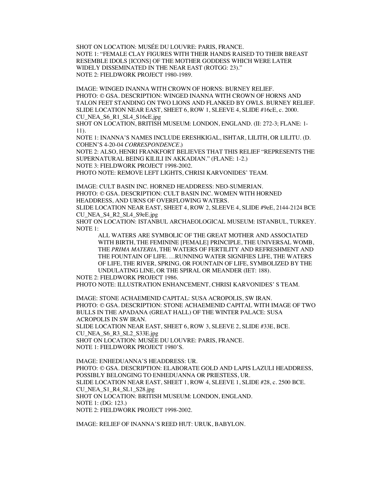SHOT ON LOCATION: MUSÉE DU LOUVRE: PARIS, FRANCE. NOTE 1: "FEMALE CLAY FIGURES WITH THEIR HANDS RAISED TO THEIR BREAST RESEMBLE IDOLS [ICONS] OF THE MOTHER GODDESS WHICH WERE LATER WIDELY DISSEMINATED IN THE NEAR EAST (ROTGG: 23)." NOTE 2: FIELDWORK PROJECT 1980-1989.

IMAGE: WINGED INANNA WITH CROWN OF HORNS: BURNEY RELIEF. PHOTO: © GSA. DESCRIPTION: WINGED INANNA WITH CROWN OF HORNS AND TALON FEET STANDING ON TWO LIONS AND FLANKED BY OWLS. BURNEY RELIEF. SLIDE LOCATION NEAR EAST, SHEET 6, ROW 1, SLEEVE 4, SLIDE #16cE, c. 2000. CU\_NEA\_S6\_R1\_SL4\_S16cE.jpg

SHOT ON LOCATION, BRITISH MUSEUM: LONDON, ENGLAND. (II: 272-3; FLANE: 1- 11).

NOTE 1: INANNA'S NAMES INCLUDE ERESHKIGAL, ISHTAR, LILITH, OR LILITU. (D. COHEN'S 4-20-04 *CORRESPONDENCE*.)

NOTE 2: ALSO, HENRI FRANKFORT BELIEVES THAT THIS RELIEF "REPRESENTS THE SUPERNATURAL BEING KILILI IN AKKADIAN." (FLANE: 1-2.) NOTE 3: FIELDWORK PROJECT 1998-2002.

PHOTO NOTE: REMOVE LEFT LIGHTS, CHRISI KARVONIDES' TEAM.

IMAGE: CULT BASIN INC. HORNED HEADDRESS: NEO-SUMERIAN. PHOTO: © GSA. DESCRIPTION: CULT BASIN INC. WOMEN WITH HORNED HEADDRESS, AND URNS OF OVERFLOWING WATERS. SLIDE LOCATION NEAR EAST, SHEET 4, ROW 2, SLEEVE 4, SLIDE #9eE, 2144-2124 BCE

CU\_NEA\_S4\_R2\_SL4\_S9eE.jpg

SHOT ON LOCATION: ISTANBUL ARCHAEOLOGICAL MUSEUM: ISTANBUL, TURKEY. NOTE 1:

ALL WATERS ARE SYMBOLIC OF THE GREAT MOTHER AND ASSOCIATED WITH BIRTH, THE FEMININE [FEMALE] PRINCIPLE, THE UNIVERSAL WOMB, THE *PRIMA MATERIA*, THE WATERS OF FERTILITY AND REFRESHMENT AND THE FOUNTAIN OF LIFE. …RUNNING WATER SIGNIFIES LIFE, THE WATERS OF LIFE, THE RIVER, SPRING, OR FOUNTAIN OF LIFE, SYMBOLIZED BY THE UNDULATING LINE, OR THE SPIRAL OR MEANDER (IET: 188).

## NOTE 2: FIELDWORK PROJECT 1986.

PHOTO NOTE: ILLUSTRATION ENHANCEMENT, CHRISI KARVONIDES' S TEAM.

IMAGE: STONE ACHAEMENID CAPITAL: SUSA ACROPOLIS, SW IRAN. PHOTO: © GSA. DESCRIPTION: STONE ACHAEMENID CAPITAL WITH IMAGE OF TWO BULLS IN THE APADANA (GREAT HALL) OF THE WINTER PALACE: SUSA ACROPOLIS IN SW IRAN. SLIDE LOCATION NEAR EAST, SHEET 6, ROW 3, SLEEVE 2, SLIDE #33E, BCE. CU\_NEA\_S6\_R3\_SL2\_S33E.jpg SHOT ON LOCATION: MUSÉE DU LOUVRE: PARIS, FRANCE. NOTE 1: FIELDWORK PROJECT 1980'S.

IMAGE: ENHEDUANNA'S HEADDRESS: UR. PHOTO: © GSA. DESCRIPTION: ELABORATE GOLD AND LAPIS LAZULI HEADDRESS, POSSIBLY BELONGING TO ENHEDUANNA OR PRIESTESS, UR. SLIDE LOCATION NEAR EAST, SHEET 1, ROW 4, SLEEVE 1, SLIDE #28, c. 2500 BCE. CU\_NEA\_S1\_R4\_SL1\_S28.jpg SHOT ON LOCATION: BRITISH MUSEUM: LONDON, ENGLAND. NOTE 1: (DG: 123.) NOTE 2: FIELDWORK PROJECT 1998-2002.

IMAGE: RELIEF OF INANNA'S REED HUT: URUK, BABYLON.